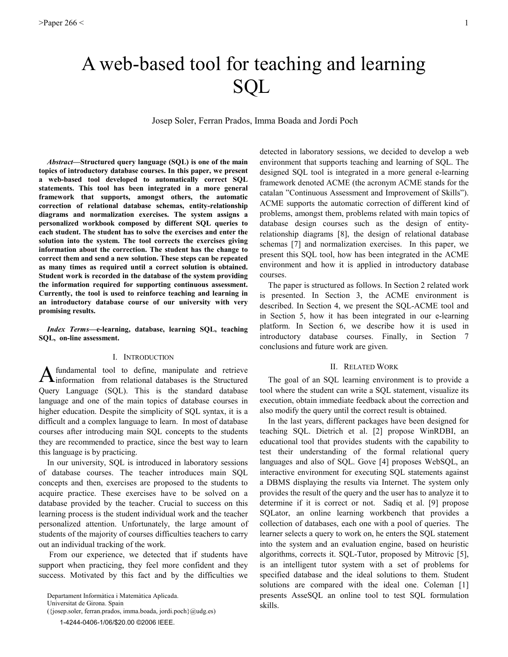# A web-based tool for teaching and learning **SQL**

Josep Soler, Ferran Prados, Imma Boada and Jordi Poch

*Abstract*—Structured query language (SQL) is one of the main topics of introductory database courses. In this paper, we present a web-based tool developed to automatically correct SOL statements. This tool has been integrated in a more general framework that supports, amongst others, the automatic correction of relational database schemas, entity-relationship diagrams and normalization exercises. The system assigns a personalized workbook composed by different SQL queries to each student. The student has to solve the exercises and enter the solution into the system. The tool corrects the exercises giving information about the correction. The student has the change to correct them and send a new solution. These steps can be repeated as many times as required until a correct solution is obtained. Student work is recorded in the database of the system providing the information required for supporting continuous assessment. Currently, the tool is used to reinforce teaching and learning in an introductory database course of our university with very promising results.

Index Terms-e-learning, database, learning SQL, teaching SQL, on-line assessment.

### I. INTRODUCTION

fundamental tool to define, manipulate and retrieve  $A$  information from relational databases is the Structured Query Language (SQL). This is the standard database language and one of the main topics of database courses in higher education. Despite the simplicity of SQL syntax, it is a difficult and a complex language to learn. In most of database courses after introducing main SQL concepts to the students they are recommended to practice, since the best way to learn this language is by practicing.

In our university, SQL is introduced in laboratory sessions of database courses. The teacher introduces main SQL concepts and then, exercises are proposed to the students to acquire practice. These exercises have to be solved on a database provided by the teacher. Crucial to success on this learning process is the student individual work and the teacher personalized attention. Unfortunately, the large amount of students of the majority of courses difficulties teachers to carry out an individual tracking of the work.

From our experience, we detected that if students have support when practicing, they feel more confident and they success. Motivated by this fact and by the difficulties we

Departament Informàtica i Matemàtica Aplicada.

Universitat de Girona. Spain

 $(\{josep.soler, ferran.prados, imma.boada, jordi.poch\} \textcircled{a} udg.es)$ 

1-4244-0406-1/06/\$20.00 ©2006 IEEE.

detected in laboratory sessions, we decided to develop a web environment that supports teaching and learning of SQL. The designed SQL tool is integrated in a more general e-learning framework denoted ACME (the acronym ACME stands for the catalan "Continuous Assessment and Improvement of Skills"). ACME supports the automatic correction of different kind of problems, amongst them, problems related with main topics of database design courses such as the design of entityrelationship diagrams [8], the design of relational database schemas [7] and normalization exercises. In this paper, we present this SQL tool, how has been integrated in the ACME environment and how it is applied in introductory database courses.

The paper is structured as follows. In Section 2 related work is presented. In Section 3, the ACME environment is described. In Section 4, we present the SQL-ACME tool and in Section 5, how it has been integrated in our e-learning platform. In Section 6, we describe how it is used in introductory database courses. Finally, in Section 7 conclusions and future work are given.

#### **II. RELATED WORK**

The goal of an SQL learning environment is to provide a tool where the student can write a SQL statement, visualize its execution, obtain immediate feedback about the correction and also modify the query until the correct result is obtained.

In the last years, different packages have been designed for teaching SQL. Dietrich et al. [2] propose WinRDBI, an educational tool that provides students with the capability to test their understanding of the formal relational query languages and also of SQL. Gove [4] proposes WebSQL, an interactive environment for executing SQL statements against a DBMS displaying the results via Internet. The system only provides the result of the query and the user has to analyze it to determine if it is correct or not. Sadiq et al. [9] propose SQLator, an online learning workbench that provides a collection of databases, each one with a pool of queries. The learner selects a query to work on, he enters the SQL statement into the system and an evaluation engine, based on heuristic algorithms, corrects it. SQL-Tutor, proposed by Mitrovic [5], is an intelligent tutor system with a set of problems for specified database and the ideal solutions to them. Student solutions are compared with the ideal one. Coleman [1] presents AsseSQL an online tool to test SQL formulation skills.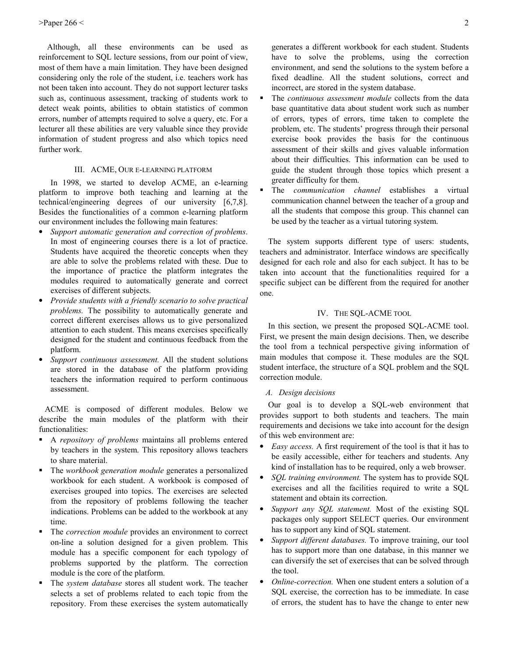Although, all these environments can be used as reinforcement to SQL lecture sessions, from our point of view, most of them have a main limitation. They have been designed considering only the role of the student, i.e. teachers work has not been taken into account. They do not support lecturer tasks such as, continuous assessment, tracking of students work to detect weak points, abilities to obtain statistics of common errors, number of attempts required to solve a query, etc. For a lecturer all these abilities are very valuable since they provide information of student progress and also which topics need further work.

# III. ACME, OUR E-LEARNING PLATFORM

In 1998, we started to develop ACME, an e-learning platform to improve both teaching and learning at the technical/engineering degrees of our university [6,7,8]. Besides the functionalities of a common e-learning platform our environment includes the following main features:

- Support automatic generation and correction of problems.  $\bullet$ In most of engineering courses there is a lot of practice. Students have acquired the theoretic concepts when they are able to solve the problems related with these. Due to the importance of practice the platform integrates the modules required to automatically generate and correct exercises of different subjects.
- Provide students with a friendly scenario to solve practical  $\bullet$ *problems*. The possibility to automatically generate and correct different exercises allows us to give personalized attention to each student. This means exercises specifically designed for the student and continuous feedback from the platform.
- Support continuous assessment. All the student solutions are stored in the database of the platform providing teachers the information required to perform continuous assessment.

ACME is composed of different modules. Below we describe the main modules of the platform with their functionalities:

- A repository of problems maintains all problems entered ٠ by teachers in the system. This repository allows teachers to share material.
- The workbook generation module generates a personalized  $\blacksquare$ workbook for each student. A workbook is composed of exercises grouped into topics. The exercises are selected from the repository of problems following the teacher indications. Problems can be added to the workbook at any time.
- The *correction module* provides an environment to correct on-line a solution designed for a given problem. This module has a specific component for each typology of problems supported by the platform. The correction module is the core of the platform.
- The system database stores all student work. The teacher selects a set of problems related to each topic from the repository. From these exercises the system automatically

generates a different workbook for each student. Students have to solve the problems, using the correction environment, and send the solutions to the system before a fixed deadline. All the student solutions, correct and incorrect, are stored in the system database.

- The continuous assessment module collects from the data  $\blacksquare$ base quantitative data about student work such as number of errors, types of errors, time taken to complete the problem, etc. The students' progress through their personal exercise book provides the basis for the continuous assessment of their skills and gives valuable information about their difficulties. This information can be used to guide the student through those topics which present a greater difficulty for them.
- The *communication channel* establishes a virtual communication channel between the teacher of a group and all the students that compose this group. This channel can be used by the teacher as a virtual tutoring system.

The system supports different type of users: students, teachers and administrator. Interface windows are specifically designed for each role and also for each subject. It has to be taken into account that the functionalities required for a specific subject can be different from the required for another one

#### IV. THE SQL-ACME TOOL

In this section, we present the proposed SQL-ACME tool. First, we present the main design decisions. Then, we describe the tool from a technical perspective giving information of main modules that compose it. These modules are the SQL student interface, the structure of a SQL problem and the SQL correction module.

# A. Design decisions

Our goal is to develop a SQL-web environment that provides support to both students and teachers. The main requirements and decisions we take into account for the design of this web environment are:

- *Easy access.* A first requirement of the tool is that it has to be easily accessible, either for teachers and students. Any kind of installation has to be required, only a web browser.
- SQL training environment. The system has to provide SQL exercises and all the facilities required to write a SQL statement and obtain its correction.
- Support any SQL statement. Most of the existing SQL packages only support SELECT queries. Our environment has to support any kind of SQL statement.
- Support different databases. To improve training, our tool  $\bullet$ has to support more than one database, in this manner we can diversify the set of exercises that can be solved through the tool
- *Online-correction*. When one student enters a solution of a SQL exercise, the correction has to be immediate. In case of errors, the student has to have the change to enter new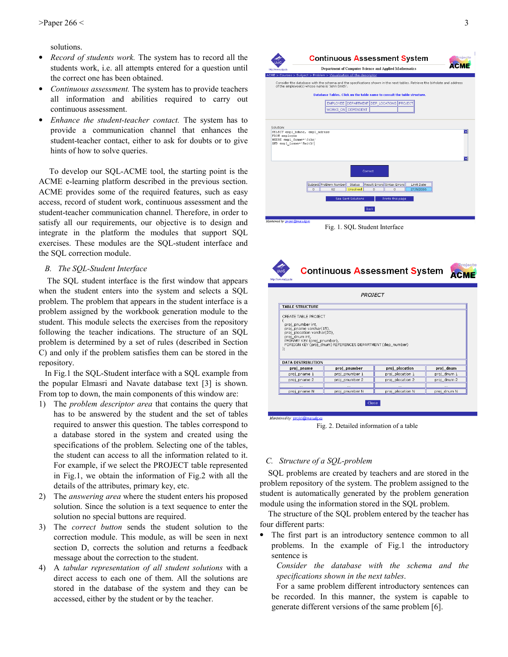solutions.

- $\bullet$ *Record of students work.* The system has to record all the students work, i.e. all attempts entered for a question until the correct one has been obtained.
- Continuous assessment. The system has to provide teachers all information and abilities required to carry out continuous assessment.
- $\bullet$ Enhance the student-teacher contact. The system has to provide a communication channel that enhances the student-teacher contact, either to ask for doubts or to give hints of how to solve queries.

To develop our SQL-ACME tool, the starting point is the ACME e-learning platform described in the previous section. ACME provides some of the required features, such as easy access, record of student work, continuous assessment and the student-teacher communication channel. Therefore, in order to satisfy all our requirements, our objective is to design and integrate in the platform the modules that support SQL exercises. These modules are the SQL-student interface and the SQL correction module.

### B. The SQL-Student Interface

The SQL student interface is the first window that appears when the student enters into the system and selects a SQL problem. The problem that appears in the student interface is a problem assigned by the workbook generation module to the student. This module selects the exercises from the repository following the teacher indications. The structure of an SQL problem is determined by a set of rules (described in Section C) and only if the problem satisfies them can be stored in the repository.

In Fig.1 the SQL-Student interface with a SQL example from the popular Elmasri and Navate database text [3] is shown. From top to down, the main components of this window are:

- 1) The *problem descriptor area* that contains the query that has to be answered by the student and the set of tables required to answer this question. The tables correspond to a database stored in the system and created using the specifications of the problem. Selecting one of the tables, the student can access to all the information related to it. For example, if we select the PROJECT table represented in Fig.1, we obtain the information of Fig.2 with all the details of the attributes, primary key, etc.
- 2) The *answering area* where the student enters his proposed solution. Since the solution is a text sequence to enter the solution no special buttons are required.
- The *correct button* sends the student solution to the  $3)$ correction module. This module, as will be seen in next section D, corrects the solution and returns a feedback message about the correction to the student.
- A tabular representation of all student solutions with a  $4)$ direct access to each one of them. All the solutions are stored in the database of the system and they can be accessed, either by the student or by the teacher.



Fig. 2. Detailed information of a table

# C. Structure of a SQL-problem

SQL problems are created by teachers and are stored in the problem repository of the system. The problem assigned to the student is automatically generated by the problem generation module using the information stored in the SQL problem.

The structure of the SQL problem entered by the teacher has four different parts:

The first part is an introductory sentence common to all  $\bullet$ problems. In the example of Fig.1 the introductory sentence is

Consider the database with the schema and the specifications shown in the next tables.

For a same problem different introductory sentences can be recorded. In this manner, the system is capable to generate different versions of the same problem [6].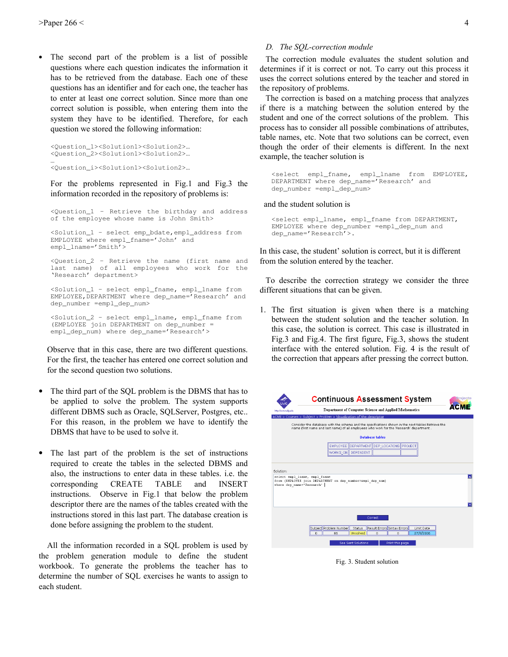The second part of the problem is a list of possible  $\bullet$ questions where each question indicates the information it has to be retrieved from the database. Each one of these questions has an identifier and for each one, the teacher has to enter at least one correct solution. Since more than one correct solution is possible, when entering them into the system they have to be identified. Therefore, for each question we stored the following information:

```
<Question_1><Solution1><Solution2>...
<Question_2><Solution1><Solution2>...
```

```
<Question_i><Solution1><Solution2>...
```
For the problems represented in Fig.1 and Fig.3 the information recorded in the repository of problems is:

<Question\_1 - Retrieve the birthday and address of the employee whose name is John Smith>

<Solution 1 - select emp bdate, empl address from EMPLOYEE where empl\_fname='John' and empl\_lname='Smith'>

<Question\_2 - Retrieve the name (first name and last name) of all employees who work for the 'Research' department>

<Solution\_1 - select empl\_fname, empl\_lname from EMPLOYEE, DEPARTMENT where dep\_name='Research' and dep\_number =empl\_dep\_num>

<Solution\_2 - select empl\_lname, empl\_fname from (EMPLOYEE join DEPARTMENT on dep\_number = empl\_dep\_num) where dep\_name='Research'>

Observe that in this case, there are two different questions. For the first, the teacher has entered one correct solution and for the second question two solutions.

- $\bullet$ The third part of the SQL problem is the DBMS that has to be applied to solve the problem. The system supports different DBMS such as Oracle, SQLServer, Postgres, etc... For this reason, in the problem we have to identify the DBMS that have to be used to solve it.
- The last part of the problem is the set of instructions required to create the tables in the selected DBMS and also, the instructions to enter data in these tables. i.e. the **CREATE TABLE** and **INSERT** corresponding instructions. Observe in Fig.1 that below the problem descriptor there are the names of the tables created with the instructions stored in this last part. The database creation is done before assigning the problem to the student.

All the information recorded in a SQL problem is used by the problem generation module to define the student workbook. To generate the problems the teacher has to determine the number of SQL exercises he wants to assign to each student.

#### D. The SQL-correction module

The correction module evaluates the student solution and determines if it is correct or not. To carry out this process it uses the correct solutions entered by the teacher and stored in the repository of problems.

The correction is based on a matching process that analyzes if there is a matching between the solution entered by the student and one of the correct solutions of the problem. This process has to consider all possible combinations of attributes, table names, etc. Note that two solutions can be correct, even though the order of their elements is different. In the next example, the teacher solution is

<select empl\_fname, empl\_lname from EMPLOYEE, DEPARTMENT where dep\_name='Research' and dep\_number =empl\_dep\_num>

#### and the student solution is

```
<select empl_lname, empl_fname from DEPARTMENT,
EMPLOYEE where dep_number =empl_dep_num and
dep_name='Research'>.
```
In this case, the student' solution is correct, but it is different from the solution entered by the teacher.

To describe the correction strategy we consider the three different situations that can be given.

1. The first situation is given when there is a matching between the student solution and the teacher solution. In this case, the solution is correct. This case is illustrated in Fig.3 and Fig.4. The first figure, Fig.3, shows the student interface with the entered solution. Fig. 4 is the result of the correction that appears after pressing the correct button.



Fig. 3. Student solution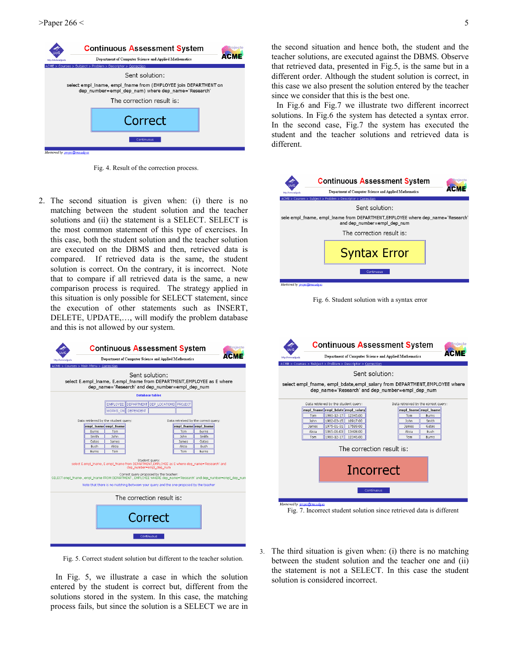

Fig. 4. Result of the correction process.

2. The second situation is given when: (i) there is no matching between the student solution and the teacher solutions and (ii) the statement is a SELECT. SELECT is the most common statement of this type of exercises. In this case, both the student solution and the teacher solution are executed on the DBMS and then, retrieved data is compared. If retrieved data is the same, the student solution is correct. On the contrary, it is incorrect. Note that to compare if all retrieved data is the same, a new comparison process is required. The strategy applied in this situation is only possible for SELECT statement, since the execution of other statements such as INSERT, DELETE, UPDATE,..., will modify the problem database and this is not allowed by our system.

|                                                                                                                                                                                                                                                                                                                                                                                                 | <b>Continuous Assessment System</b>                    |                        |                       |                                      |  |  |  |
|-------------------------------------------------------------------------------------------------------------------------------------------------------------------------------------------------------------------------------------------------------------------------------------------------------------------------------------------------------------------------------------------------|--------------------------------------------------------|------------------------|-----------------------|--------------------------------------|--|--|--|
| http://www.udc.edu                                                                                                                                                                                                                                                                                                                                                                              | Department of Computer Science and Applied Mathematics |                        |                       |                                      |  |  |  |
|                                                                                                                                                                                                                                                                                                                                                                                                 | ACME > Courses > Main Menu > Correction                |                        |                       |                                      |  |  |  |
| Sent solution:<br>select E.empl Iname, E.empl fname from DEPARTMENT, EMPLOYEE as E where<br>dep name='Research' and dep number=empl dep num                                                                                                                                                                                                                                                     |                                                        |                        |                       |                                      |  |  |  |
|                                                                                                                                                                                                                                                                                                                                                                                                 |                                                        | <b>Database tables</b> |                       |                                      |  |  |  |
|                                                                                                                                                                                                                                                                                                                                                                                                 | EMPLOYEE   DEPARTMENT   DEP_LOCATIONS   PROJECT        |                        |                       |                                      |  |  |  |
|                                                                                                                                                                                                                                                                                                                                                                                                 | WORKS ON DEPENDENT                                     |                        |                       |                                      |  |  |  |
|                                                                                                                                                                                                                                                                                                                                                                                                 |                                                        |                        |                       |                                      |  |  |  |
|                                                                                                                                                                                                                                                                                                                                                                                                 | Data retrieved by the student query:                   |                        |                       | Data retreived by the correct query: |  |  |  |
|                                                                                                                                                                                                                                                                                                                                                                                                 | empl_Iname empl_fname                                  |                        | empl fname empl Iname |                                      |  |  |  |
|                                                                                                                                                                                                                                                                                                                                                                                                 | Burns<br>Tom<br>Smith<br><b>Inhn</b>                   |                        | Tom<br><b>Inhn</b>    | Burns<br>Smith                       |  |  |  |
|                                                                                                                                                                                                                                                                                                                                                                                                 | Gates<br>James                                         |                        | James                 | Gates                                |  |  |  |
|                                                                                                                                                                                                                                                                                                                                                                                                 | Bush<br>Alicia                                         |                        | Alicia                | Bush                                 |  |  |  |
|                                                                                                                                                                                                                                                                                                                                                                                                 | Tom<br>Burns                                           |                        | Tom                   | Burns                                |  |  |  |
| Student query:<br>select E.empl Iname, E.empl fname from DEPARTMENT, EMPLOYEE as E where dep name='Research' and<br>dep number=empl dep num<br>Correct query proposed by the teacher:<br>SELECT empl fname, empl iname FROM DEPARTMENT, EMPLOYEE WHERE dep name='Research' and dep number=empl dep num<br>Note that there is no matching between your guery and the one proposed by the teacher |                                                        |                        |                       |                                      |  |  |  |
| The correction result is:                                                                                                                                                                                                                                                                                                                                                                       |                                                        |                        |                       |                                      |  |  |  |
| Correct                                                                                                                                                                                                                                                                                                                                                                                         |                                                        |                        |                       |                                      |  |  |  |
| Continuous                                                                                                                                                                                                                                                                                                                                                                                      |                                                        |                        |                       |                                      |  |  |  |

Fig. 5. Correct student solution but different to the teacher solution.

In Fig. 5, we illustrate a case in which the solution entered by the student is correct but, different from the solutions stored in the system. In this case, the matching process fails, but since the solution is a SELECT we are in

the second situation and hence both, the student and the teacher solutions, are executed against the DBMS. Observe that retrieved data, presented in Fig.5, is the same but in a different order. Although the student solution is correct, in this case we also present the solution entered by the teacher since we consider that this is the best one.

In Fig.6 and Fig.7 we illustrate two different incorrect solutions. In Fig.6 the system has detected a syntax error. In the second case, Fig.7 the system has executed the student and the teacher solutions and retrieved data is different.



Fig. 7. Incorrect student solution since retrieved data is different

The third situation is given when: (i) there is no matching between the student solution and the teacher one and (ii) the statement is not a SELECT. In this case the student solution is considered incorrect.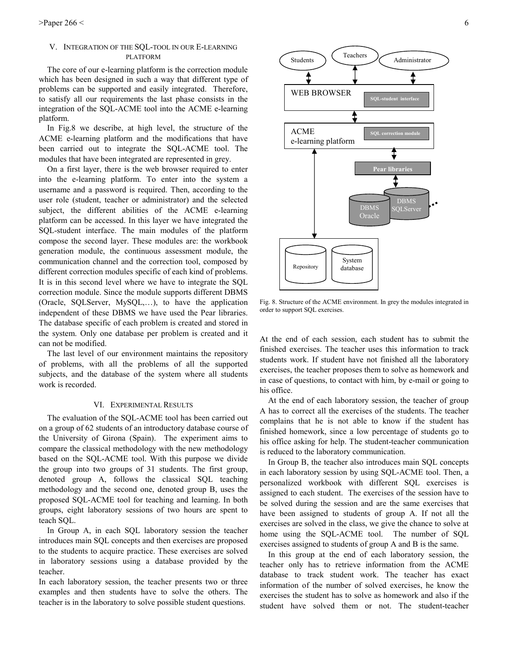# V. INTEGRATION OF THE SQL-TOOL IN OUR E-LEARNING **PLATFORM**

The core of our e-learning platform is the correction module which has been designed in such a way that different type of problems can be supported and easily integrated. Therefore, to satisfy all our requirements the last phase consists in the integration of the SQL-ACME tool into the ACME e-learning platform.

In Fig.8 we describe, at high level, the structure of the ACME e-learning platform and the modifications that have been carried out to integrate the SOL-ACME tool. The modules that have been integrated are represented in grey.

On a first layer, there is the web browser required to enter into the e-learning platform. To enter into the system a username and a password is required. Then, according to the user role (student, teacher or administrator) and the selected subject, the different abilities of the ACME e-learning platform can be accessed. In this layer we have integrated the SQL-student interface. The main modules of the platform compose the second layer. These modules are: the workbook generation module, the continuous assessment module, the communication channel and the correction tool, composed by different correction modules specific of each kind of problems. It is in this second level where we have to integrate the SQL correction module. Since the module supports different DBMS (Oracle, SQLServer, MySQL,...), to have the application independent of these DBMS we have used the Pear libraries. The database specific of each problem is created and stored in the system. Only one database per problem is created and it can not be modified.

The last level of our environment maintains the repository of problems, with all the problems of all the supported subjects, and the database of the system where all students work is recorded.

#### VI. EXPERIMENTAL RESULTS

The evaluation of the SQL-ACME tool has been carried out on a group of 62 students of an introductory database course of the University of Girona (Spain). The experiment aims to compare the classical methodology with the new methodology based on the SQL-ACME tool. With this purpose we divide the group into two groups of 31 students. The first group, denoted group A, follows the classical SQL teaching methodology and the second one, denoted group B, uses the proposed SQL-ACME tool for teaching and learning. In both groups, eight laboratory sessions of two hours are spent to teach SQL.

In Group A, in each SQL laboratory session the teacher introduces main SQL concepts and then exercises are proposed to the students to acquire practice. These exercises are solved in laboratory sessions using a database provided by the teacher.

In each laboratory session, the teacher presents two or three examples and then students have to solve the others. The teacher is in the laboratory to solve possible student questions.



Fig. 8. Structure of the ACME environment. In grey the modules integrated in order to support SQL exercises.

At the end of each session, each student has to submit the finished exercises. The teacher uses this information to track students work. If student have not finished all the laboratory exercises, the teacher proposes them to solve as homework and in case of questions, to contact with him, by e-mail or going to his office.

At the end of each laboratory session, the teacher of group A has to correct all the exercises of the students. The teacher complains that he is not able to know if the student has finished homework, since a low percentage of students go to his office asking for help. The student-teacher communication is reduced to the laboratory communication.

In Group B, the teacher also introduces main SQL concepts in each laboratory session by using SQL-ACME tool. Then, a personalized workbook with different SQL exercises is assigned to each student. The exercises of the session have to be solved during the session and are the same exercises that have been assigned to students of group A. If not all the exercises are solved in the class, we give the chance to solve at home using the SQL-ACME tool. The number of SQL exercises assigned to students of group A and B is the same.

In this group at the end of each laboratory session, the teacher only has to retrieve information from the ACME database to track student work. The teacher has exact information of the number of solved exercises, he know the exercises the student has to solve as homework and also if the student have solved them or not. The student-teacher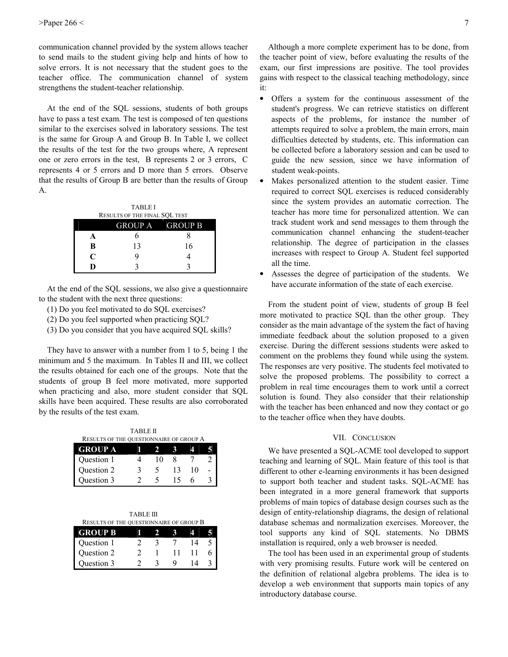communication channel provided by the system allows teacher to send mails to the student giving help and hints of how to solve errors. It is not necessary that the student goes to the teacher office. The communication channel of system strengthens the student-teacher relationship.

At the end of the SQL sessions, students of both groups have to pass a test exam. The test is composed of ten questions similar to the exercises solved in laboratory sessions. The test is the same for Group A and Group B. In Table I, we collect the results of the test for the two groups where, A represent one or zero errors in the test, B represents 2 or 3 errors, C represents 4 or 5 errors and D more than 5 errors. Observe that the results of Group B are better than the results of Group  $\mathbf{A}$ 

| <b>TABLE I</b>                       |                        |    |  |  |  |  |
|--------------------------------------|------------------------|----|--|--|--|--|
| <b>RESULTS OF THE FINAL SQL TEST</b> |                        |    |  |  |  |  |
|                                      | <b>GROUP A</b> GROUP B |    |  |  |  |  |
|                                      |                        |    |  |  |  |  |
| B                                    | 13                     | 16 |  |  |  |  |
| $\mathsf{C}$                         |                        |    |  |  |  |  |
|                                      |                        |    |  |  |  |  |

At the end of the SOL sessions, we also give a questionnaire to the student with the next three questions:

- (1) Do you feel motivated to do SQL exercises?
- (2) Do you feel supported when practicing SQL?
- (3) Do you consider that you have acquired SQL skills?

They have to answer with a number from 1 to 5, being 1 the minimum and 5 the maximum. In Tables II and III, we collect the results obtained for each one of the groups. Note that the students of group B feel more motivated, more supported when practicing and also, more student consider that SQL skills have been acquired. These results are also corroborated by the results of the test exam.

**TABLE II** RESULTS OF THE QUESTIONNAIRE OF GROUP A

| GROUP A    |       |    |  |
|------------|-------|----|--|
| Question 1 | l ( ) |    |  |
| Question 2 |       | ۱0 |  |
| Ouestion 3 |       |    |  |

|  | <b>TABLE III</b> |
|--|------------------|
|  |                  |

| <b>RESULTS OF THE QUESTIONNAIRE OF GROUP B</b> |  |  |  |  |  |  |
|------------------------------------------------|--|--|--|--|--|--|
| <b>GROUP B</b>                                 |  |  |  |  |  |  |
| Question 1                                     |  |  |  |  |  |  |
| Question 2                                     |  |  |  |  |  |  |
| Question 3                                     |  |  |  |  |  |  |

Although a more complete experiment has to be done, from the teacher point of view, before evaluating the results of the exam, our first impressions are positive. The tool provides gains with respect to the classical teaching methodology, since it:

- $\bullet$ Offers a system for the continuous assessment of the student's progress. We can retrieve statistics on different aspects of the problems, for instance the number of attempts required to solve a problem, the main errors, main difficulties detected by students, etc. This information can be collected before a laboratory session and can be used to guide the new session, since we have information of student weak-points.
- Makes personalized attention to the student easier. Time required to correct SQL exercises is reduced considerably since the system provides an automatic correction. The teacher has more time for personalized attention. We can track student work and send messages to them through the communication channel enhancing the student-teacher relationship. The degree of participation in the classes increases with respect to Group A. Student feel supported all the time.
- Assesses the degree of participation of the students. We have accurate information of the state of each exercise.

From the student point of view, students of group B feel more motivated to practice SQL than the other group. They consider as the main advantage of the system the fact of having immediate feedback about the solution proposed to a given exercise. During the different sessions students were asked to comment on the problems they found while using the system. The responses are very positive. The students feel motivated to solve the proposed problems. The possibility to correct a problem in real time encourages them to work until a correct solution is found. They also consider that their relationship with the teacher has been enhanced and now they contact or go to the teacher office when they have doubts.

### VII. CONCLUSION

We have presented a SQL-ACME tool developed to support teaching and learning of SQL. Main feature of this tool is that different to other e-learning environments it has been designed to support both teacher and student tasks. SQL-ACME has been integrated in a more general framework that supports problems of main topics of database design courses such as the design of entity-relationship diagrams, the design of relational database schemas and normalization exercises. Moreover, the tool supports any kind of SQL statements. No DBMS installation is required, only a web browser is needed.

The tool has been used in an experimental group of students with very promising results. Future work will be centered on the definition of relational algebra problems. The idea is to develop a web environment that supports main topics of any introductory database course.